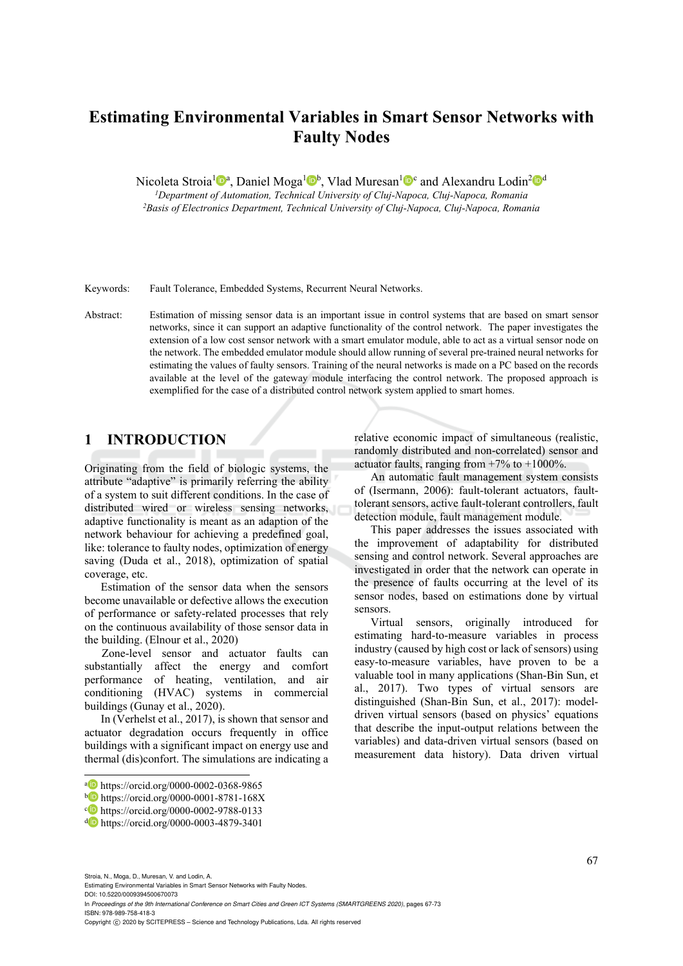# **Estimating Environmental Variables in Smart Sensor Networks with Faulty Nodes**

Nicoleta Stroia<sup>1</sup><sup>®</sup><sup>a</sup>, Daniel Moga<sup>1</sup><sup>®</sup><sub>b</sub>, Vlad Muresan<sup>1</sup><sup>®</sup>c and Alexandru Lodin<sup>2</sup><sup>®</sup><sup>d</sup><br><sup>1</sup>Department of Automation, Technical University of Cluj-Napoca, Cluj-Napoca, Romania

*1Department of Automation, Technical University of Cluj-Napoca, Cluj-Napoca, Romania 2Basis of Electronics Department, Technical University of Cluj-Napoca, Cluj-Napoca, Romania* 

Keywords: Fault Tolerance, Embedded Systems, Recurrent Neural Networks.

Abstract: Estimation of missing sensor data is an important issue in control systems that are based on smart sensor networks, since it can support an adaptive functionality of the control network. The paper investigates the extension of a low cost sensor network with a smart emulator module, able to act as a virtual sensor node on the network. The embedded emulator module should allow running of several pre-trained neural networks for estimating the values of faulty sensors. Training of the neural networks is made on a PC based on the records available at the level of the gateway module interfacing the control network. The proposed approach is exemplified for the case of a distributed control network system applied to smart homes.

### **1 INTRODUCTION**

Originating from the field of biologic systems, the attribute "adaptive" is primarily referring the ability of a system to suit different conditions. In the case of distributed wired or wireless sensing networks, adaptive functionality is meant as an adaption of the network behaviour for achieving a predefined goal, like: tolerance to faulty nodes, optimization of energy saving (Duda et al., 2018), optimization of spatial coverage, etc.

Estimation of the sensor data when the sensors become unavailable or defective allows the execution of performance or safety-related processes that rely on the continuous availability of those sensor data in the building. (Elnour et al., 2020)

Zone-level sensor and actuator faults can substantially affect the energy and comfort performance of heating, ventilation, and air conditioning (HVAC) systems in commercial buildings (Gunay et al., 2020).

In (Verhelst et al., 2017), is shown that sensor and actuator degradation occurs frequently in office buildings with a significant impact on energy use and thermal (dis)confort. The simulations are indicating a relative economic impact of simultaneous (realistic, randomly distributed and non-correlated) sensor and actuator faults, ranging from  $+7\%$  to  $+1000\%$ .

An automatic fault management system consists of (Isermann, 2006): fault-tolerant actuators, faulttolerant sensors, active fault-tolerant controllers, fault detection module, fault management module.

This paper addresses the issues associated with the improvement of adaptability for distributed sensing and control network. Several approaches are investigated in order that the network can operate in the presence of faults occurring at the level of its sensor nodes, based on estimations done by virtual sensors.

Virtual sensors, originally introduced for estimating hard-to-measure variables in process industry (caused by high cost or lack of sensors) using easy-to-measure variables, have proven to be a valuable tool in many applications (Shan-Bin Sun, et al., 2017). Two types of virtual sensors are distinguished (Shan-Bin Sun, et al., 2017): modeldriven virtual sensors (based on physics' equations that describe the input-output relations between the variables) and data-driven virtual sensors (based on measurement data history). Data driven virtual

Stroia, N., Moga, D., Muresan, V. and Lodin, A.

 $\overline{a}$ 

Estimating Environmental Variables in Smart Sensor Networks with Faulty Nodes.

DOI: 10.5220/0009394500670073 In *Proceedings of the 9th International Conference on Smart Cities and Green ICT Systems (SMARTGREENS 2020)*, pages 67-73 ISBN: 978-989-758-418-3

a https://orcid.org/0000-0002-0368-9865<br>
b https://orcid.org/0000-0001-8781-168X<br>
c https://orcid.org/0000-0002-9788-0133<br>
d https://orcid.org/0000-0003-4879-3401

Copyright © 2020 by SCITEPRESS - Science and Technology Publications, Lda. All rights reserved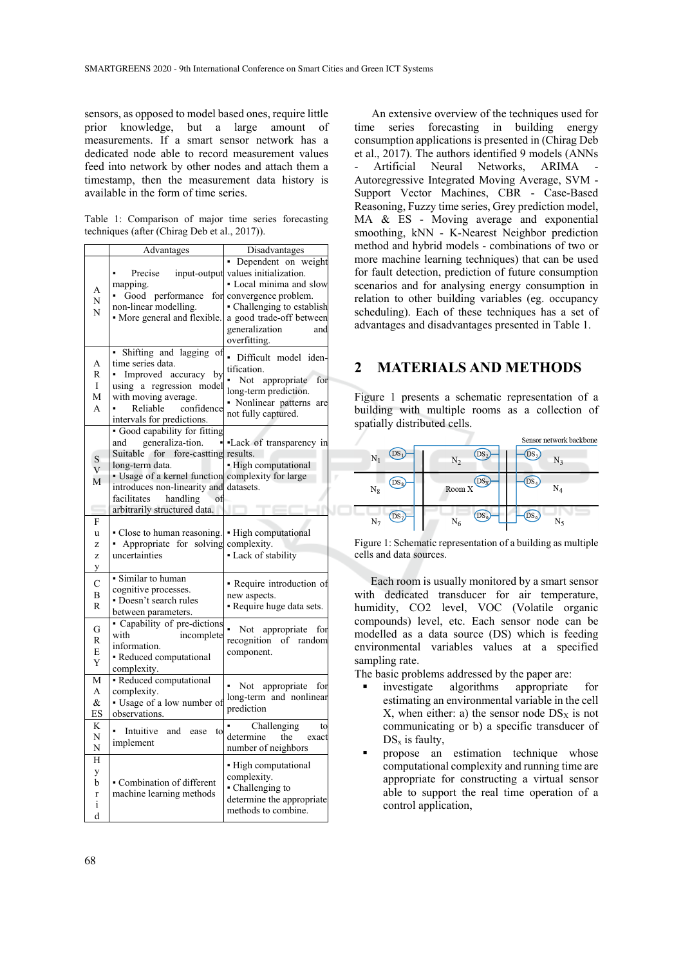sensors, as opposed to model based ones, require little prior knowledge, but a large amount of measurements. If a smart sensor network has a dedicated node able to record measurement values feed into network by other nodes and attach them a timestamp, then the measurement data history is available in the form of time series.

Table 1: Comparison of major time series forecasting techniques (after (Chirag Deb et al., 2017)).

|                                  | Advantages                                                                                                                                                                                                                           | Disadvantages                                                                                                                                                                                             |  |
|----------------------------------|--------------------------------------------------------------------------------------------------------------------------------------------------------------------------------------------------------------------------------------|-----------------------------------------------------------------------------------------------------------------------------------------------------------------------------------------------------------|--|
| Α<br>N<br>N                      | Precise<br>input-output<br>mapping.<br>performance<br>Good<br>for<br>non-linear modelling.<br>• More general and flexible.                                                                                                           | Dependent on weight<br>×.<br>values initialization.<br>· Local minima and slow<br>convergence problem.<br>• Challenging to establish<br>a good trade-off between<br>generalization<br>and<br>overfitting. |  |
| А<br>$\mathbb{R}$<br>I<br>М<br>A | Shifting and lagging<br>of<br>time series data.<br>Improved accuracy<br>by<br>using a regression model<br>with moving average.<br>Reliable<br>confidence<br>intervals for predictions.                                               | Difficult model iden-<br>tification.<br>Not<br>appropriate<br>for<br>long-term prediction.<br>• Nonlinear patterns<br>are<br>not fully captured.                                                          |  |
| S<br>V<br>М                      | · Good capability for fitting<br>generaliza-tion.<br>and<br>Suitable for fore-castting<br>long-term data.<br>• Usage of a kernel function<br>introduces non-linearity and<br>facilitates<br>handling<br>arbitrarily structured data. | Lack of transparency in<br>results.<br>- High computational<br>complexity for large<br>datasets.                                                                                                          |  |
| F<br>u<br>Z<br>Z<br>y            | • Close to human reasoning.<br>- Appropriate for solving<br>uncertainties                                                                                                                                                            | • High computational<br>complexity.<br>- Lack of stability                                                                                                                                                |  |
| $\mathcal{C}$<br>B<br>R          | • Similar to human<br>cognitive processes.<br>• Doesn't search rules<br>between parameters.                                                                                                                                          | - Require introduction of<br>new aspects.<br>- Require huge data sets.                                                                                                                                    |  |
| G<br>R<br>E<br>Y                 | - Capability of pre-dictions<br>with<br>incomplete<br>information.<br>- Reduced computational<br>complexity.                                                                                                                         | Not<br>appropriate<br>for<br>recognition<br>of random<br>component.                                                                                                                                       |  |
| M<br>A<br>&<br>ES                | - Reduced computational<br>complexity.<br>· Usage of a low number of<br>observations.                                                                                                                                                | Not appropriate<br>for<br>long-term and nonlinear<br>prediction                                                                                                                                           |  |
| K<br>N<br>N                      | Intuitive<br>and<br>ease<br>to<br>implement                                                                                                                                                                                          | Challenging<br>to<br>determine<br>the<br>exact<br>number of neighbors                                                                                                                                     |  |
| H<br>y<br>b<br>r<br>i<br>d       | • Combination of different<br>machine learning methods                                                                                                                                                                               | • High computational<br>complexity.<br>• Challenging to<br>determine the appropriate<br>methods to combine.                                                                                               |  |

An extensive overview of the techniques used for time series forecasting in building energy consumption applications is presented in (Chirag Deb et al., 2017). The authors identified 9 models (ANNs Artificial Neural Networks, ARIMA Autoregressive Integrated Moving Average, SVM - Support Vector Machines, CBR - Case-Based Reasoning, Fuzzy time series, Grey prediction model, MA & ES - Moving average and exponential smoothing, kNN - K-Nearest Neighbor prediction method and hybrid models - combinations of two or more machine learning techniques) that can be used for fault detection, prediction of future consumption scenarios and for analysing energy consumption in relation to other building variables (eg. occupancy scheduling). Each of these techniques has a set of advantages and disadvantages presented in Table 1.

#### **2 MATERIALS AND METHODS**

Figure 1 presents a schematic representation of a building with multiple rooms as a collection of spatially distributed cells.

|                |                              | Sensor network backbone |
|----------------|------------------------------|-------------------------|
| N <sub>1</sub> | DS <sub>2</sub><br>$\rm N_2$ | DS<br>N3                |
| $US_8$ .       | $DS_{\rm X}$                 | $\mathrm{DS}_4$         |
| $N_8$          | Room X                       | $\mathrm{N}_4$          |
| DS             | $DS_6$                       | $DS_6$                  |
| $N_7$          | $N_6$                        | N٢                      |

Figure 1: Schematic representation of a building as multiple cells and data sources.

Each room is usually monitored by a smart sensor with dedicated transducer for air temperature, humidity, CO2 level, VOC (Volatile organic compounds) level, etc. Each sensor node can be modelled as a data source (DS) which is feeding environmental variables values at a specified sampling rate.

The basic problems addressed by the paper are:

- investigate algorithms appropriate for estimating an environmental variable in the cell  $X$ , when either: a) the sensor node  $DS<sub>X</sub>$  is not communicating or b) a specific transducer of  $DS_x$  is faulty,
- propose an estimation technique whose computational complexity and running time are appropriate for constructing a virtual sensor able to support the real time operation of a control application,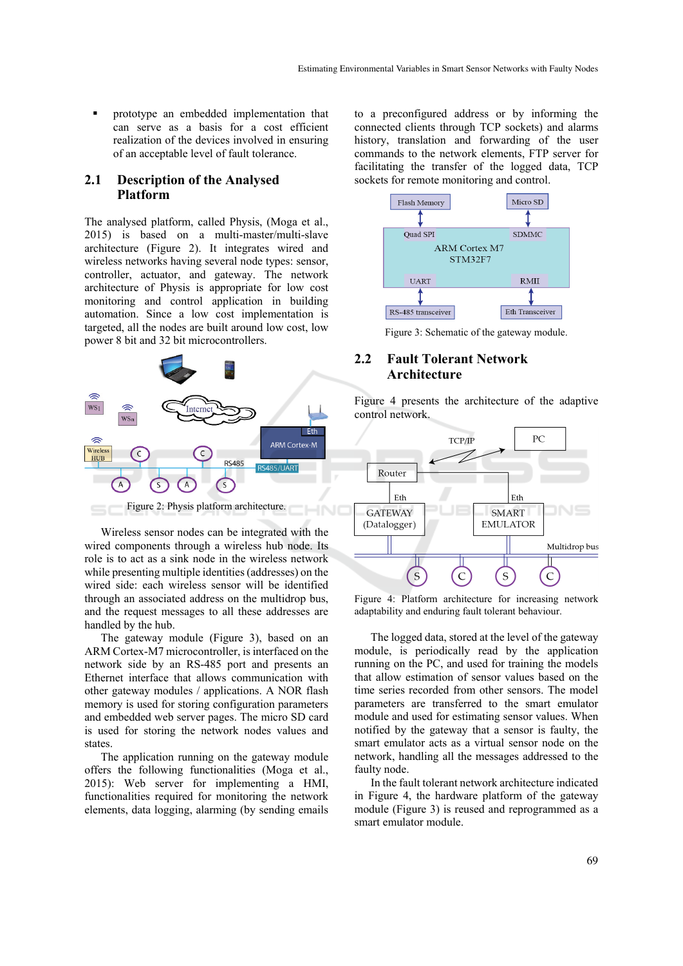prototype an embedded implementation that can serve as a basis for a cost efficient realization of the devices involved in ensuring of an acceptable level of fault tolerance.

#### **2.1 Description of the Analysed Platform**

The analysed platform, called Physis, (Moga et al., 2015) is based on a multi-master/multi-slave architecture (Figure 2). It integrates wired and wireless networks having several node types: sensor, controller, actuator, and gateway. The network architecture of Physis is appropriate for low cost monitoring and control application in building automation. Since a low cost implementation is targeted, all the nodes are built around low cost, low power 8 bit and 32 bit microcontrollers.



Wireless sensor nodes can be integrated with the wired components through a wireless hub node. Its role is to act as a sink node in the wireless network while presenting multiple identities (addresses) on the wired side: each wireless sensor will be identified through an associated address on the multidrop bus, and the request messages to all these addresses are handled by the hub.

The gateway module (Figure 3), based on an ARM Cortex-M7 microcontroller, is interfaced on the network side by an RS-485 port and presents an Ethernet interface that allows communication with other gateway modules / applications. A NOR flash memory is used for storing configuration parameters and embedded web server pages. The micro SD card is used for storing the network nodes values and states.

The application running on the gateway module offers the following functionalities (Moga et al., 2015): Web server for implementing a HMI, functionalities required for monitoring the network elements, data logging, alarming (by sending emails

to a preconfigured address or by informing the connected clients through TCP sockets) and alarms history, translation and forwarding of the user commands to the network elements, FTP server for facilitating the transfer of the logged data, TCP sockets for remote monitoring and control.



Figure 3: Schematic of the gateway module.

#### **2.2 Fault Tolerant Network Architecture**

Figure 4 presents the architecture of the adaptive control network.



Figure 4: Platform architecture for increasing network adaptability and enduring fault tolerant behaviour.

The logged data, stored at the level of the gateway module, is periodically read by the application running on the PC, and used for training the models that allow estimation of sensor values based on the time series recorded from other sensors. The model parameters are transferred to the smart emulator module and used for estimating sensor values. When notified by the gateway that a sensor is faulty, the smart emulator acts as a virtual sensor node on the network, handling all the messages addressed to the faulty node.

In the fault tolerant network architecture indicated in Figure 4, the hardware platform of the gateway module (Figure 3) is reused and reprogrammed as a smart emulator module.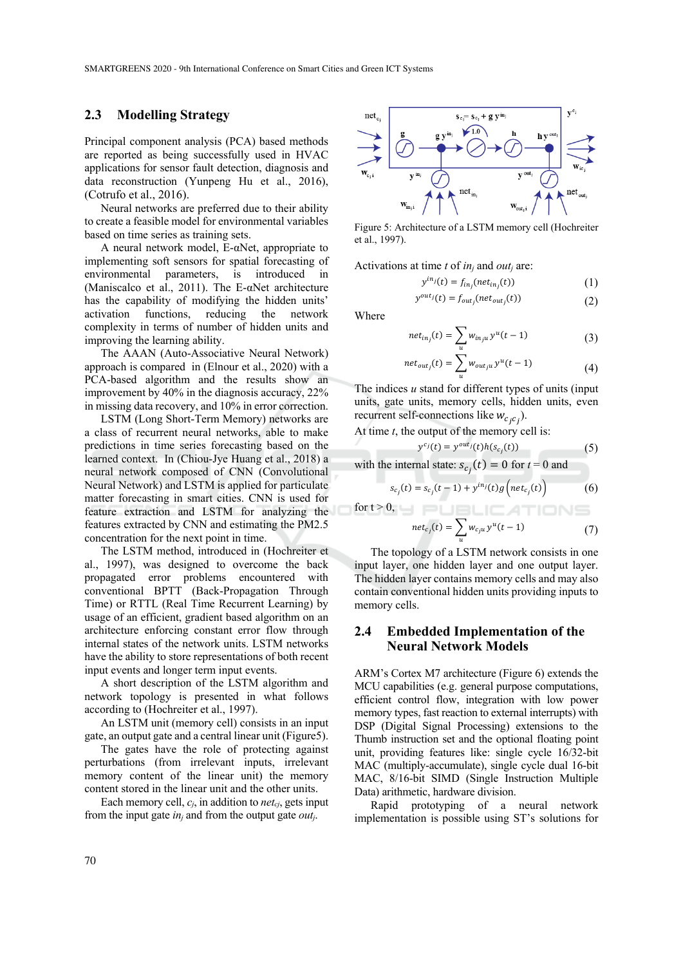#### **2.3 Modelling Strategy**

Principal component analysis (PCA) based methods are reported as being successfully used in HVAC applications for sensor fault detection, diagnosis and data reconstruction (Yunpeng Hu et al., 2016), (Cotrufo et al., 2016).

Neural networks are preferred due to their ability to create a feasible model for environmental variables based on time series as training sets.

A neural network model,  $E-\alpha$ Net, appropriate to implementing soft sensors for spatial forecasting of environmental parameters, is introduced in (Maniscalco et al., 2011). The E-αNet architecture has the capability of modifying the hidden units' activation functions, reducing the network complexity in terms of number of hidden units and improving the learning ability.

The AAAN (Auto-Associative Neural Network) approach is compared in (Elnour et al., 2020) with a PCA-based algorithm and the results show an improvement by 40% in the diagnosis accuracy, 22% in missing data recovery, and 10% in error correction.

LSTM (Long Short-Term Memory) networks are a class of recurrent neural networks, able to make predictions in time series forecasting based on the learned context. In (Chiou-Jye Huang et al., 2018) a neural network composed of CNN (Convolutional Neural Network) and LSTM is applied for particulate matter forecasting in smart cities. CNN is used for feature extraction and LSTM for analyzing the features extracted by CNN and estimating the PM2.5 concentration for the next point in time.

The LSTM method, introduced in (Hochreiter et al., 1997), was designed to overcome the back propagated error problems encountered with conventional BPTT (Back-Propagation Through Time) or RTTL (Real Time Recurrent Learning) by usage of an efficient, gradient based algorithm on an architecture enforcing constant error flow through internal states of the network units. LSTM networks have the ability to store representations of both recent input events and longer term input events.

A short description of the LSTM algorithm and network topology is presented in what follows according to (Hochreiter et al., 1997).

An LSTM unit (memory cell) consists in an input gate, an output gate and a central linear unit (Figure5).

The gates have the role of protecting against perturbations (from irrelevant inputs, irrelevant memory content of the linear unit) the memory content stored in the linear unit and the other units.

Each memory cell,  $c_i$ , in addition to *net<sub>ci*</sub>, gets input from the input gate *inj* and from the output gate *outj*.



Figure 5: Architecture of a LSTM memory cell (Hochreiter et al., 1997).

Activations at time *t* of *inj* and *outj* are:

$$
y^{in_j}(t) = f_{in_j}(net_{in_j}(t))
$$
\n(1)

$$
y^{out_j}(t) = f_{out_j}(net_{out_j}(t))
$$
\n(2)

Where

 $\overline{\phantom{a}}$ 

$$
net_{in_j}(t) = \sum_{u} w_{in_ju} y^u(t-1)
$$
 (3)

$$
et_{out_j}(t) = \sum_{u} w_{out_{j}u} y^u(t-1)
$$
\n(4)

The indices *u* stand for different types of units (input units, gate units, memory cells, hidden units, even recurrent self-connections like  $w_{c_j c_j}$ ).

At time *t*, the output of the memory cell is:

$$
y^{c_j}(t) = y^{out_j}(t)h(s_{c_j}(t))
$$
\n(5)

with the internal state:  $s_{c_j}(t) = 0$  for  $t = 0$  and

$$
s_{c_j}(t) = s_{c_j}(t-1) + y^{in_j}(t)g\left(net_{c_j}(t)\right)
$$
 (6)

for t > 0,

$$
net_{c_j}(t) = \sum_{u} w_{c_j u} y^u(t-1)
$$
 (7)

The topology of a LSTM network consists in one input layer, one hidden layer and one output layer. The hidden layer contains memory cells and may also contain conventional hidden units providing inputs to memory cells.

#### **2.4 Embedded Implementation of the Neural Network Models**

ARM's Cortex M7 architecture (Figure 6) extends the MCU capabilities (e.g. general purpose computations, efficient control flow, integration with low power memory types, fast reaction to external interrupts) with DSP (Digital Signal Processing) extensions to the Thumb instruction set and the optional floating point unit, providing features like: single cycle 16/32-bit MAC (multiply-accumulate), single cycle dual 16-bit MAC, 8/16-bit SIMD (Single Instruction Multiple Data) arithmetic, hardware division.

Rapid prototyping of a neural network implementation is possible using ST's solutions for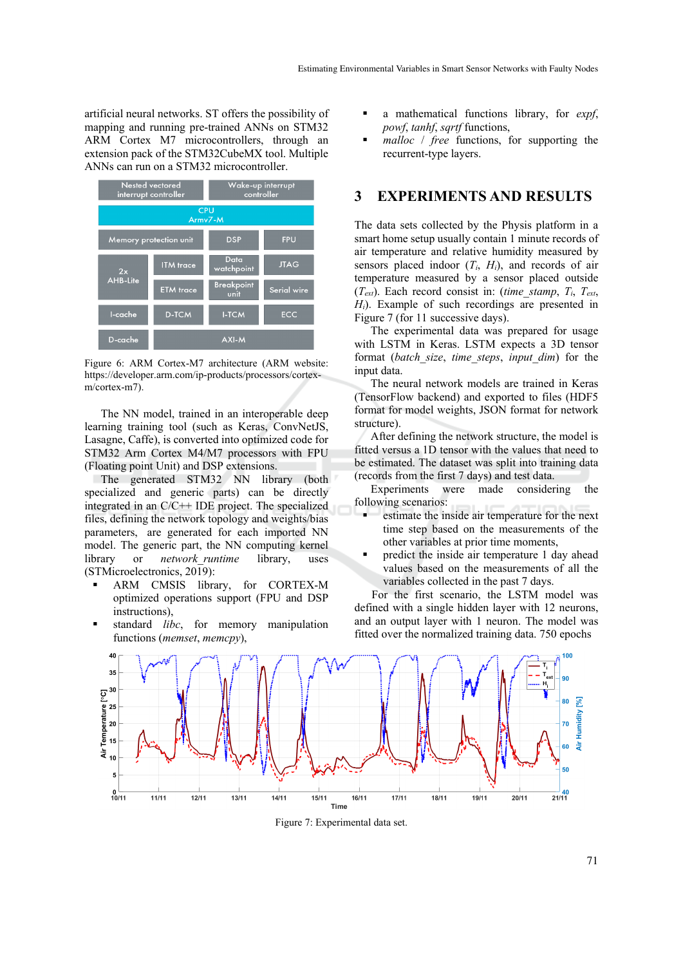artificial neural networks. ST offers the possibility of mapping and running pre-trained ANNs on STM32 ARM Cortex M7 microcontrollers, through an extension pack of the STM32CubeMX tool. Multiple ANNs can run on a STM32 microcontroller.



Figure 6: ARM Cortex-M7 architecture (ARM website: https://developer.arm.com/ip-products/processors/cortexm/cortex-m7).

The NN model, trained in an interoperable deep learning training tool (such as Keras, ConvNetJS, Lasagne, Caffe), is converted into optimized code for STM32 Arm Cortex M4/M7 processors with FPU (Floating point Unit) and DSP extensions.

The generated STM32 NN library (both specialized and generic parts) can be directly integrated in an C/C++ IDE project. The specialized files, defining the network topology and weights/bias parameters, are generated for each imported NN model. The generic part, the NN computing kernel library or *network\_runtime* library, uses (STMicroelectronics, 2019):

- ARM CMSIS library, for CORTEX-M optimized operations support (FPU and DSP instructions),
- standard *libc*, for memory manipulation functions (*memset*, *memcpy*),
- a mathematical functions library, for *expf*, *powf*, *tanhf*, *sqrtf* functions,
- *malloc* / *free* functions, for supporting the recurrent-type layers.

#### **3 EXPERIMENTS AND RESULTS**

The data sets collected by the Physis platform in a smart home setup usually contain 1 minute records of air temperature and relative humidity measured by sensors placed indoor  $(T_i, H_i)$ , and records of air temperature measured by a sensor placed outside  $(T_{ext})$ . Each record consist in: (*time\_stamp*,  $T_i$ ,  $T_{ext}$ , *Hi*). Example of such recordings are presented in Figure 7 (for 11 successive days).

The experimental data was prepared for usage with LSTM in Keras. LSTM expects a 3D tensor format (*batch\_size*, *time\_steps*, *input\_dim*) for the input data.

The neural network models are trained in Keras (TensorFlow backend) and exported to files (HDF5 format for model weights, JSON format for network structure).

After defining the network structure, the model is fitted versus a 1D tensor with the values that need to be estimated. The dataset was split into training data (records from the first 7 days) and test data.

Experiments were made considering the following scenarios:

- estimate the inside air temperature for the next time step based on the measurements of the other variables at prior time moments,
- predict the inside air temperature 1 day ahead values based on the measurements of all the variables collected in the past 7 days.

For the first scenario, the LSTM model was defined with a single hidden layer with 12 neurons, and an output layer with 1 neuron. The model was fitted over the normalized training data. 750 epochs



Figure 7: Experimental data set.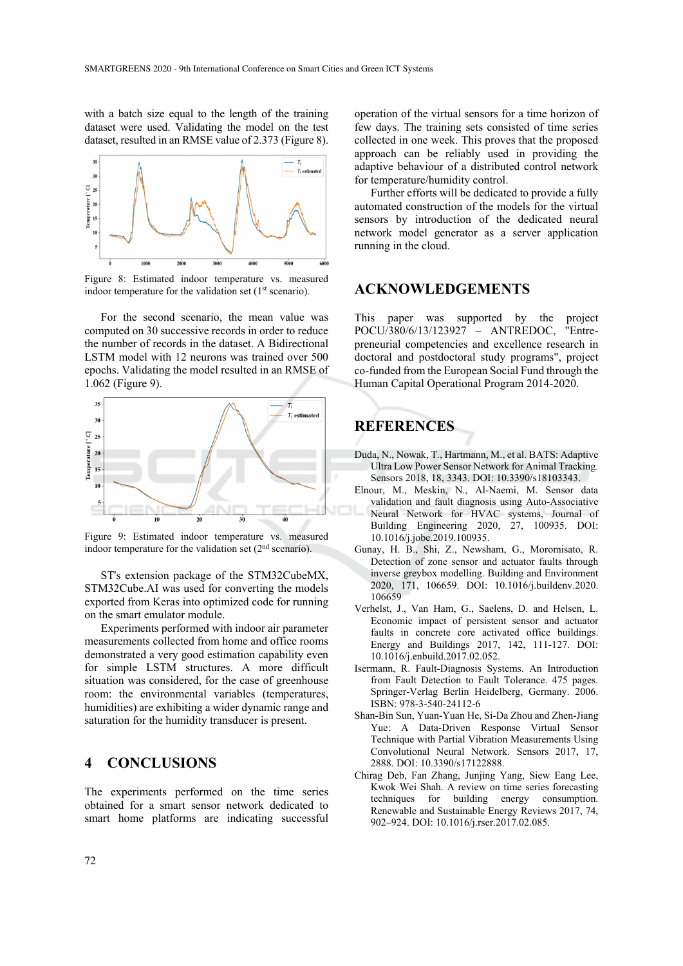with a batch size equal to the length of the training dataset were used. Validating the model on the test dataset, resulted in an RMSE value of 2.373 (Figure 8).



Figure 8: Estimated indoor temperature vs. measured indoor temperature for the validation set  $(1<sup>st</sup>$  scenario).

For the second scenario, the mean value was computed on 30 successive records in order to reduce the number of records in the dataset. A Bidirectional LSTM model with 12 neurons was trained over 500 epochs. Validating the model resulted in an RMSE of 1.062 (Figure 9).



Figure 9: Estimated indoor temperature vs. measured indoor temperature for the validation set (2nd scenario).

ST's extension package of the STM32CubeMX, STM32Cube.AI was used for converting the models exported from Keras into optimized code for running on the smart emulator module.

Experiments performed with indoor air parameter measurements collected from home and office rooms demonstrated a very good estimation capability even for simple LSTM structures. A more difficult situation was considered, for the case of greenhouse room: the environmental variables (temperatures, humidities) are exhibiting a wider dynamic range and saturation for the humidity transducer is present.

#### **4 CONCLUSIONS**

The experiments performed on the time series obtained for a smart sensor network dedicated to smart home platforms are indicating successful

operation of the virtual sensors for a time horizon of few days. The training sets consisted of time series collected in one week. This proves that the proposed approach can be reliably used in providing the adaptive behaviour of a distributed control network for temperature/humidity control.

Further efforts will be dedicated to provide a fully automated construction of the models for the virtual sensors by introduction of the dedicated neural network model generator as a server application running in the cloud.

#### **ACKNOWLEDGEMENTS**

This paper was supported by the project POCU/380/6/13/123927 – ANTREDOC, "Entrepreneurial competencies and excellence research in doctoral and postdoctoral study programs", project co-funded from the European Social Fund through the Human Capital Operational Program 2014-2020.

## **REFERENCES**

- Duda, N., Nowak, T., Hartmann, M., et al. BATS: Adaptive Ultra Low Power Sensor Network for Animal Tracking. Sensors 2018, 18, 3343. DOI: 10.3390/s18103343.
- Elnour, M., Meskin, N., Al-Naemi, M. Sensor data validation and fault diagnosis using Auto-Associative Neural Network for HVAC systems, Journal of Building Engineering 2020, 27, 100935. DOI: 10.1016/j.jobe.2019.100935.
- Gunay, H. B., Shi, Z., Newsham, G., Moromisato, R. Detection of zone sensor and actuator faults through inverse greybox modelling. Building and Environment 2020, 171, 106659. DOI: 10.1016/j.buildenv.2020. 106659
- Verhelst, J., Van Ham, G., Saelens, D. and Helsen, L. Economic impact of persistent sensor and actuator faults in concrete core activated office buildings. Energy and Buildings 2017, 142, 111-127. DOI: 10.1016/j.enbuild.2017.02.052.
- Isermann, R. Fault-Diagnosis Systems. An Introduction from Fault Detection to Fault Tolerance. 475 pages. Springer-Verlag Berlin Heidelberg, Germany. 2006. ISBN: 978-3-540-24112-6
- Shan-Bin Sun, Yuan-Yuan He, Si-Da Zhou and Zhen-Jiang Yue: A Data-Driven Response Virtual Sensor Technique with Partial Vibration Measurements Using Convolutional Neural Network. Sensors 2017, 17, 2888. DOI: 10.3390/s17122888.
- Chirag Deb, Fan Zhang, Junjing Yang, Siew Eang Lee, Kwok Wei Shah. A review on time series forecasting techniques for building energy consumption. Renewable and Sustainable Energy Reviews 2017, 74, 902–924. DOI: 10.1016/j.rser.2017.02.085.